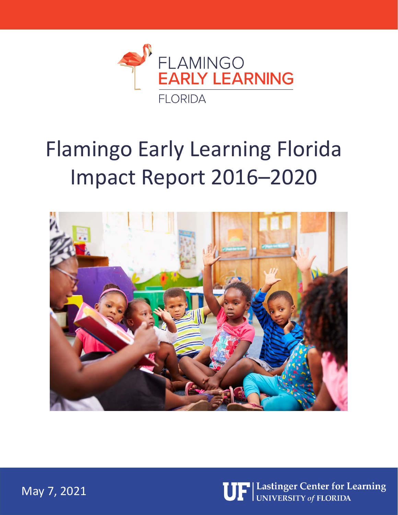

# Flamingo Early Learning Florida Impact Report 2016–2020





May 7, 2021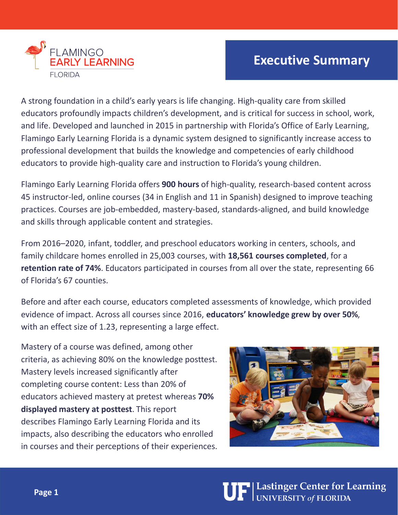

#### **Executive Summary**

A strong foundation in a child's early years is life changing. High-quality care from skilled educators profoundly impacts children's development, and is critical for success in school, work, and life. Developed and launched in 2015 in partnership with Florida's Office of Early Learning, Flamingo Early Learning Florida is a dynamic system designed to significantly increase access to professional development that builds the knowledge and competencies of early childhood educators to provide high-quality care and instruction to Florida's young children.

Flamingo Early Learning Florida offers **900 hours** of high-quality, research-based content across 45 instructor-led, online courses (34 in English and 11 in Spanish) designed to improve teaching practices. Courses are job-embedded, mastery-based, standards-aligned, and build knowledge and skills through applicable content and strategies.

From 2016–2020, infant, toddler, and preschool educators working in centers, schools, and family childcare homes enrolled in 25,003 courses, with **18,561 courses completed**, for a **retention rate of 74%**. Educators participated in courses from all over the state, representing 66 of Florida's 67 counties.

Before and after each course, educators completed assessments of knowledge, which provided evidence of impact. Across all courses since 2016, **educators' knowledge grew by over 50%**, with an effect size of 1.23, representing a large effect.

Mastery of a course was defined, among other criteria, as achieving 80% on the knowledge posttest. Mastery levels increased significantly after completing course content: Less than 20% of educators achieved mastery at pretest whereas **70% displayed mastery at posttest**. This report describes Flamingo Early Learning Florida and its impacts, also describing the educators who enrolled in courses and their perceptions of their experiences.



**UF** Lastinger Center for Learning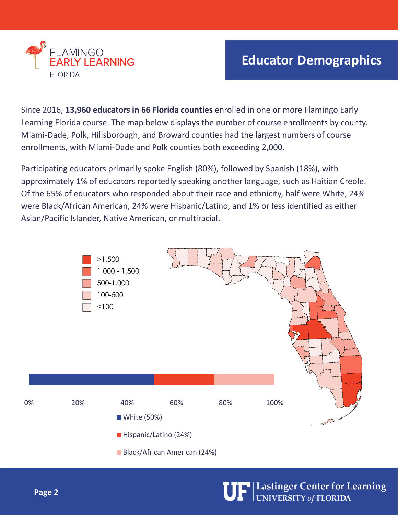

## **Educator Demographics**

Since 2016, **13,960 educators in 66 Florida counties** enrolled in one or more Flamingo Early Learning Florida course. The map below displays the number of course enrollments by county. Miami-Dade, Polk, Hillsborough, and Broward counties had the largest numbers of course enrollments, with Miami-Dade and Polk counties both exceeding 2,000.

Participating educators primarily spoke English (80%), followed by Spanish (18%), with approximately 1% of educators reportedly speaking another language, such as Haitian Creole. Of the 65% of educators who responded about their race and ethnicity, half were White, 24% were Black/African American, 24% were Hispanic/Latino, and 1% or less identified as either Asian/Pacific Islander, Native American, or multiracial.

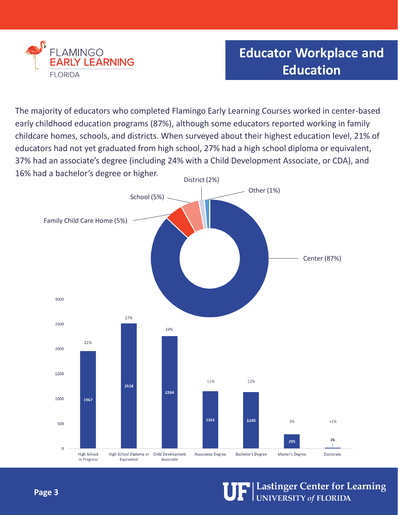

## **Educator Workplace and Education**

The majority of educators who completed Flamingo Early Learning Courses worked in center-based early childhood education programs (87%), although some educators reported working in family childcare homes, schools, and districts. When surveyed about their highest education level, 21% of educators had not yet graduated from high school, 27% had a high school diploma or equivalent, 37% had an associate's degree (including 24% with a Child Development Associate, or CDA), and 16% had a bachelor's degree or higher.

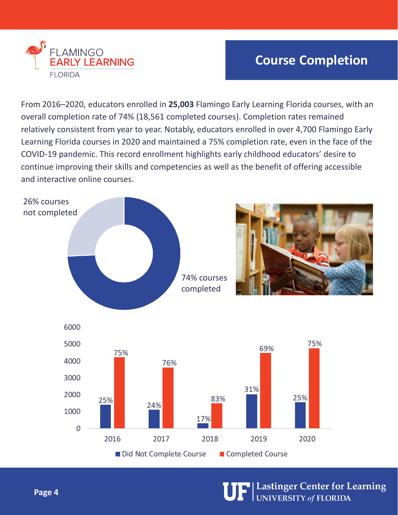

## **Course Completion**

From 2016–2020, educators enrolled in **25,003** Flamingo Early Learning Florida courses, with an overall completion rate of 74% (18,561 completed courses). Completion rates remained relatively consistent from year to year. Notably, educators enrolled in over 4,700 Flamingo Early Learning Florida courses in 2020 and maintained a 75% completion rate, even in the face of the COVID-19 pandemic. This record enrollment highlights early childhood educators' desire to continue improving their skills and competencies as well as the benefit of offering accessible and interactive online courses.



**UF** Lastinger Center for Learning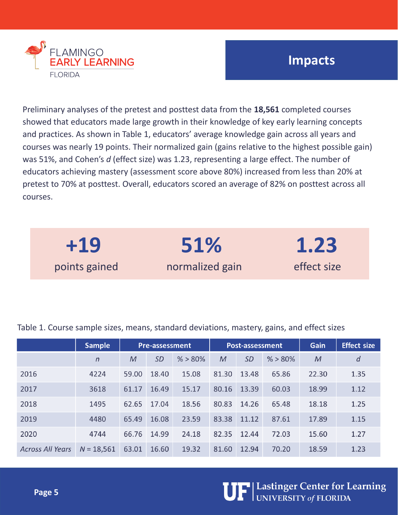

### **Impacts**

Preliminary analyses of the pretest and posttest data from the **18,561** completed courses showed that educators made large growth in their knowledge of key early learning concepts and practices. As shown in Table 1, educators' average knowledge gain across all years and courses was nearly 19 points. Their normalized gain (gains relative to the highest possible gain) was 51%, and Cohen's *d* (effect size) was 1.23, representing a large effect. The number of educators achieving mastery (assessment score above 80%) increased from less than 20% at pretest to 70% at posttest. Overall, educators scored an average of 82% on posttest across all courses.

| $+19$         | 51%             | 1.23        |
|---------------|-----------------|-------------|
| points gained | normalized gain | effect size |

Table 1. Course sample sizes, means, standard deviations, mastery, gains, and effect sizes

|                         | <b>Sample</b> | <b>Pre-assessment</b> |           |            | Post-assessment |           |            | Gain         | <b>Effect size</b> |
|-------------------------|---------------|-----------------------|-----------|------------|-----------------|-----------|------------|--------------|--------------------|
|                         | $\sqrt{n}$    | $\mathcal M$          | <i>SD</i> | $% > 80\%$ | $\mathcal M$    | <b>SD</b> | $% > 80\%$ | $\mathcal M$ | $\boldsymbol{d}$   |
| 2016                    | 4224          | 59.00                 | 18.40     | 15.08      | 81.30           | 13.48     | 65.86      | 22.30        | 1.35               |
| 2017                    | 3618          | 61.17                 | 16.49     | 15.17      | 80.16           | 13.39     | 60.03      | 18.99        | 1.12               |
| 2018                    | 1495          | 62.65                 | 17.04     | 18.56      | 80.83           | 14.26     | 65.48      | 18.18        | 1.25               |
| 2019                    | 4480          | 65.49                 | 16.08     | 23.59      | 83.38           | 11.12     | 87.61      | 17.89        | 1.15               |
| 2020                    | 4744          | 66.76                 | 14.99     | 24.18      | 82.35           | 12.44     | 72.03      | 15.60        | 1.27               |
| <b>Across All Years</b> | $N = 18,561$  | 63.01                 | 16.60     | 19.32      | 81.60           | 12.94     | 70.20      | 18.59        | 1.23               |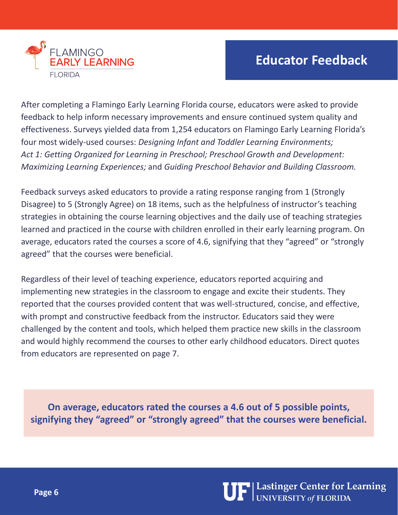

## **Educator Feedback**

After completing a Flamingo Early Learning Florida course, educators were asked to provide feedback to help inform necessary improvements and ensure continued system quality and effectiveness. Surveys yielded data from 1,254 educators on Flamingo Early Learning Florida's four most widely-used courses: *Designing Infant and Toddler Learning Environments; Act 1: Getting Organized for Learning in Preschool; Preschool Growth and Development: Maximizing Learning Experiences;* and *Guiding Preschool Behavior and Building Classroom.*

Feedback surveys asked educators to provide a rating response ranging from 1 (Strongly Disagree) to 5 (Strongly Agree) on 18 items, such as the helpfulness of instructor's teaching strategies in obtaining the course learning objectives and the daily use of teaching strategies learned and practiced in the course with children enrolled in their early learning program. On average, educators rated the courses a score of 4.6, signifying that they "agreed" or "strongly agreed" that the courses were beneficial.

Regardless of their level of teaching experience, educators reported acquiring and implementing new strategies in the classroom to engage and excite their students. They reported that the courses provided content that was well-structured, concise, and effective, with prompt and constructive feedback from the instructor. Educators said they were challenged by the content and tools, which helped them practice new skills in the classroom and would highly recommend the courses to other early childhood educators. Direct quotes from educators are represented on page 7.

**On average, educators rated the courses a 4.6 out of 5 possible points, signifying they "agreed" or "strongly agreed" that the courses were beneficial.**